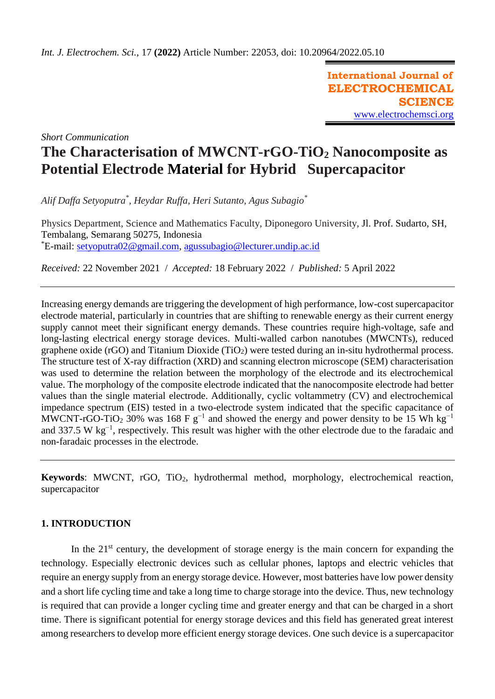**International Journal of ELECTROCHEMICAL SCIENCE** [www.electrochemsci.org](http://www.electrochemsci.org/)

*Short Communication*

# **The Characterisation of MWCNT-rGO-TiO<sup>2</sup> Nanocomposite as Potential Electrode Material for Hybrid Supercapacitor**

*Alif Daffa Setyoputra\* , Heydar Ruffa, Heri Sutanto, Agus Subagio\**

Physics Department, Science and Mathematics Faculty, Diponegoro University, Jl. Prof. Sudarto, SH, Tembalang, Semarang 50275, Indonesia \*E-mail: [setyoputra02@gmail.com,](mailto:setyoputra02@gmail.com) [agussubagio@lecturer.undip.ac.id](mailto:agussubagio@lecturer.undip.ac.id)

*Received:* 22 November 2021/ *Accepted:* 18 February 2022 / *Published:* 5 April 2022

Increasing energy demands are triggering the development of high performance, low-cost supercapacitor electrode material, particularly in countries that are shifting to renewable energy as their current energy supply cannot meet their significant energy demands. These countries require high-voltage, safe and long-lasting electrical energy storage devices. Multi-walled carbon nanotubes (MWCNTs), reduced graphene oxide (rGO) and Titanium Dioxide (TiO<sub>2</sub>) were tested during an in-situ hydrothermal process. The structure test of X-ray diffraction (XRD) and scanning electron microscope (SEM) characterisation was used to determine the relation between the morphology of the electrode and its electrochemical value. The morphology of the composite electrode indicated that the nanocomposite electrode had better values than the single material electrode. Additionally, cyclic voltammetry (CV) and electrochemical impedance spectrum (EIS) tested in a two-electrode system indicated that the specific capacitance of MWCNT-rGO-TiO<sub>2</sub> 30% was 168 F g<sup>-1</sup> and showed the energy and power density to be 15 Wh kg<sup>-1</sup> and 337.5 W kg−1, respectively. This result was higher with the other electrode due to the faradaic and non-faradaic processes in the electrode.

**Keywords**: MWCNT, rGO, TiO<sub>2</sub>, hydrothermal method, morphology, electrochemical reaction, supercapacitor

# **1. INTRODUCTION**

In the  $21<sup>st</sup>$  century, the development of storage energy is the main concern for expanding the technology. Especially electronic devices such as cellular phones, laptops and electric vehicles that require an energy supply from an energy storage device. However, most batteries have low power density and a short life cycling time and take a long time to charge storage into the device. Thus, new technology is required that can provide a longer cycling time and greater energy and that can be charged in a short time. There is significant potential for energy storage devices and this field has generated great interest among researchers to develop more efficient energy storage devices. One such device is a supercapacitor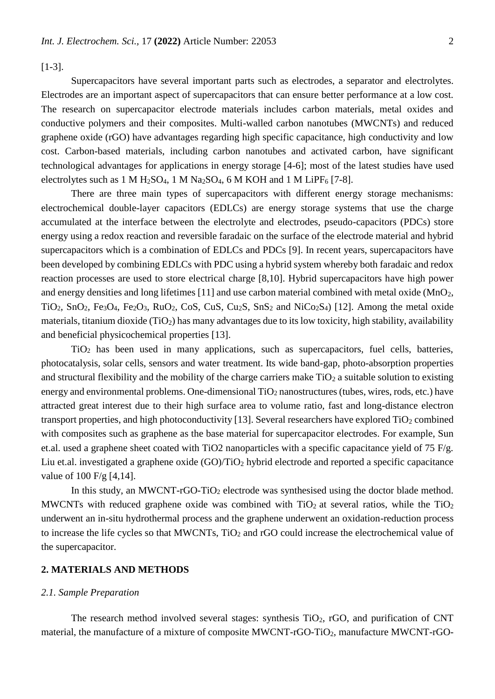[1-3].

Supercapacitors have several important parts such as electrodes, a separator and electrolytes. Electrodes are an important aspect of supercapacitors that can ensure better performance at a low cost. The research on supercapacitor electrode materials includes carbon materials, metal oxides and conductive polymers and their composites. Multi-walled carbon nanotubes (MWCNTs) and reduced graphene oxide (rGO) have advantages regarding high specific capacitance, high conductivity and low cost. Carbon-based materials, including carbon nanotubes and activated carbon, have significant technological advantages for applications in energy storage [4-6]; most of the latest studies have used electrolytes such as 1 M H<sub>2</sub>SO<sub>4</sub>, 1 M Na<sub>2</sub>SO<sub>4</sub>, 6 M KOH and 1 M LiPF<sub>6</sub> [7-8].

There are three main types of supercapacitors with different energy storage mechanisms: electrochemical double-layer capacitors (EDLCs) are energy storage systems that use the charge accumulated at the interface between the electrolyte and electrodes, pseudo-capacitors (PDCs) store energy using a redox reaction and reversible faradaic on the surface of the electrode material and hybrid supercapacitors which is a combination of EDLCs and PDCs [9]. In recent years, supercapacitors have been developed by combining EDLCs with PDC using a hybrid system whereby both faradaic and redox reaction processes are used to store electrical charge [8,10]. Hybrid supercapacitors have high power and energy densities and long lifetimes [11] and use carbon material combined with metal oxide (MnO<sub>2</sub>, TiO<sub>2</sub>, SnO<sub>2</sub>, Fe<sub>3</sub>O<sub>4</sub>, Fe<sub>2</sub>O<sub>3</sub>, RuO<sub>2</sub>, CoS, CuS, Cu<sub>2</sub>S, SnS<sub>2</sub> and NiCo<sub>2</sub>S<sub>4</sub>) [12]. Among the metal oxide materials, titanium dioxide (TiO<sub>2</sub>) has many advantages due to its low toxicity, high stability, availability and beneficial physicochemical properties [13].

TiO<sup>2</sup> has been used in many applications, such as supercapacitors, fuel cells, batteries, photocatalysis, solar cells, sensors and water treatment. Its wide band-gap, photo-absorption properties and structural flexibility and the mobility of the charge carriers make  $TiO<sub>2</sub>$  a suitable solution to existing energy and environmental problems. One-dimensional TiO<sub>2</sub> nanostructures (tubes, wires, rods, etc.) have attracted great interest due to their high surface area to volume ratio, fast and long-distance electron transport properties, and high photoconductivity [13]. Several researchers have explored  $TiO<sub>2</sub>$  combined with composites such as graphene as the base material for supercapacitor electrodes. For example, Sun et.al. used a graphene sheet coated with TiO2 nanoparticles with a specific capacitance yield of 75 F/g. Liu et.al. investigated a graphene oxide  $(GO)/TiO<sub>2</sub>$  hybrid electrode and reported a specific capacitance value of 100 F/g [4,14].

In this study, an MWCNT- $rGO-TiO<sub>2</sub>$  electrode was synthesised using the doctor blade method. MWCNTs with reduced graphene oxide was combined with  $TiO<sub>2</sub>$  at several ratios, while the  $TiO<sub>2</sub>$ underwent an in-situ hydrothermal process and the graphene underwent an oxidation-reduction process to increase the life cycles so that MWCNTs, TiO<sub>2</sub> and rGO could increase the electrochemical value of the supercapacitor.

## **2. MATERIALS AND METHODS**

#### *2.1. Sample Preparation*

The research method involved several stages: synthesis  $TiO<sub>2</sub>$ ,  $rGO$ , and purification of CNT material, the manufacture of a mixture of composite MWCNT-rGO-TiO<sub>2</sub>, manufacture MWCNT-rGO-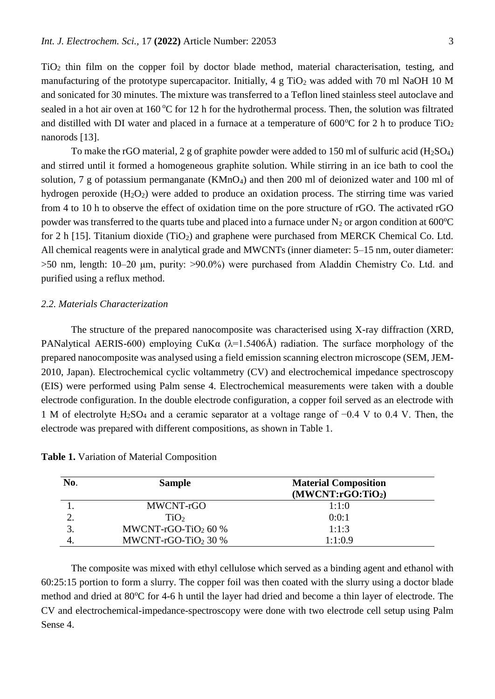TiO<sup>2</sup> thin film on the copper foil by doctor blade method, material characterisation, testing, and manufacturing of the prototype supercapacitor. Initially,  $4 \text{ g TiO}_2$  was added with 70 ml NaOH 10 M and sonicated for 30 minutes. The mixture was transferred to a Teflon lined stainless steel autoclave and sealed in a hot air oven at  $160^{\circ}$ C for 12 h for the hydrothermal process. Then, the solution was filtrated and distilled with DI water and placed in a furnace at a temperature of  $600^{\circ}$ C for 2 h to produce TiO<sub>2</sub> nanorods [13].

To make the rGO material, 2 g of graphite powder were added to 150 ml of sulfuric acid  $(H_2SO_4)$ and stirred until it formed a homogeneous graphite solution. While stirring in an ice bath to cool the solution, 7 g of potassium permanganate ( $KMnO<sub>4</sub>$ ) and then 200 ml of deionized water and 100 ml of hydrogen peroxide  $(H_2O_2)$  were added to produce an oxidation process. The stirring time was varied from 4 to 10 h to observe the effect of oxidation time on the pore structure of rGO. The activated rGO powder was transferred to the quarts tube and placed into a furnace under  $N_2$  or argon condition at 600 $^{\circ}$ C for 2 h [15]. Titanium dioxide  $(TiO_2)$  and graphene were purchased from MERCK Chemical Co. Ltd. All chemical reagents were in analytical grade and MWCNTs (inner diameter: 5–15 nm, outer diameter: >50 nm, length: 10–20 μm, purity: >90.0%) were purchased from Aladdin Chemistry Co. Ltd. and purified using a reflux method.

## *2.2. Materials Characterization*

The structure of the prepared nanocomposite was characterised using X-ray diffraction (XRD, PANalytical AERIS-600) employing CuK $\alpha$  ( $\lambda$ =1.5406Å) radiation. The surface morphology of the prepared nanocomposite was analysed using a field emission scanning electron microscope (SEM, JEM-2010, Japan). Electrochemical cyclic voltammetry (CV) and electrochemical impedance spectroscopy (EIS) were performed using Palm sense 4. Electrochemical measurements were taken with a double electrode configuration. In the double electrode configuration, a copper foil served as an electrode with 1 M of electrolyte H2SO<sup>4</sup> and a ceramic separator at a voltage range of −0.4 V to 0.4 V. Then, the electrode was prepared with different compositions, as shown in Table 1.

| No. | <b>Sample</b>                   | <b>Material Composition</b><br>(MWCNT:rGO:TiO <sub>2</sub> ) |
|-----|---------------------------------|--------------------------------------------------------------|
|     | MWCNT-rGO                       | 1:1:0                                                        |
| 2.  | TiO <sub>2</sub>                | 0:0:1                                                        |
|     | MWCNT-rGO-TiO <sub>2</sub> 60 % | 1:1:3                                                        |
|     | MWCNT-rGO-TiO <sub>2</sub> 30 % | 1:1:0.9                                                      |

**Table 1.** Variation of Material Composition

The composite was mixed with ethyl cellulose which served as a binding agent and ethanol with 60:25:15 portion to form a slurry. The copper foil was then coated with the slurry using a doctor blade method and dried at 80°C for 4-6 h until the layer had dried and become a thin layer of electrode. The CV and electrochemical-impedance-spectroscopy were done with two electrode cell setup using Palm Sense 4.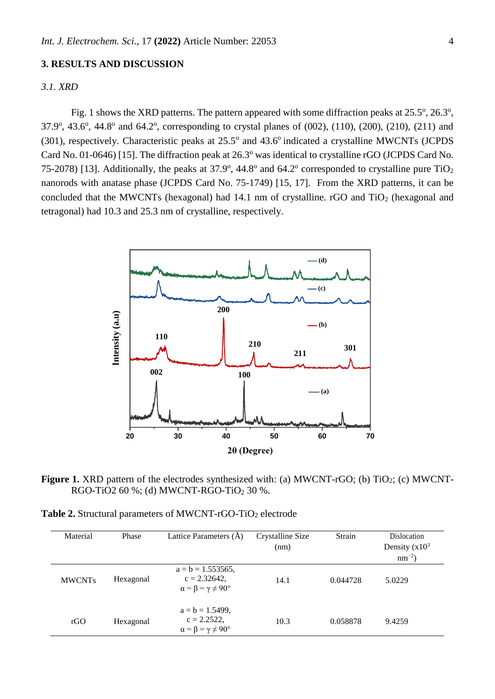### **3. RESULTS AND DISCUSSION**

## *3.1. XRD*

Fig. 1 shows the XRD patterns. The pattern appeared with some diffraction peaks at  $25.5^{\circ}$ ,  $26.3^{\circ}$ , 37.9°, 43.6°, 44.8° and 64.2°, corresponding to crystal planes of (002), (110), (200), (210), (211) and  $(301)$ , respectively. Characteristic peaks at  $25.5^{\circ}$  and  $43.6^{\circ}$  indicated a crystalline MWCNTs (JCPDS Card No. 01-0646) [15]. The diffraction peak at 26.3<sup>o</sup> was identical to crystalline rGO (JCPDS Card No. 75-2078) [13]. Additionally, the peaks at  $37.9^{\circ}$ ,  $44.8^{\circ}$  and  $64.2^{\circ}$  corresponded to crystalline pure TiO<sub>2</sub> nanorods with anatase phase (JCPDS Card No. 75-1749) [15, 17]. From the XRD patterns, it can be concluded that the MWCNTs (hexagonal) had  $14.1 \text{ nm}$  of crystalline. rGO and TiO<sub>2</sub> (hexagonal and tetragonal) had 10.3 and 25.3 nm of crystalline, respectively.



**Figure 1.** XRD pattern of the electrodes synthesized with: (a) MWCNT-rGO; (b) TiO<sub>2</sub>; (c) MWCNT-RGO-TiO2 60 %; (d) MWCNT-RGO-TiO<sub>2</sub> 30 %.

| Material      | Phase     | Lattice Parameters (A)                                                               | Crystalline Size<br>(nm) | Strain   | Dislocation<br>Density $(x10^3)$<br>$nm^{-2}$ |
|---------------|-----------|--------------------------------------------------------------------------------------|--------------------------|----------|-----------------------------------------------|
| <b>MWCNTs</b> | Hexagonal | $a = b = 1.553565$ ,<br>$c = 2.32642$ ,<br>$\alpha = \beta = \gamma \neq 90^{\circ}$ | 14.1                     | 0.044728 | 5.0229                                        |
| rGO           | Hexagonal | $a = b = 1.5499$ ,<br>$c = 2.2522$ ,<br>$\alpha = \beta = \gamma \neq 90^{\circ}$    | 10.3                     | 0.058878 | 9.4259                                        |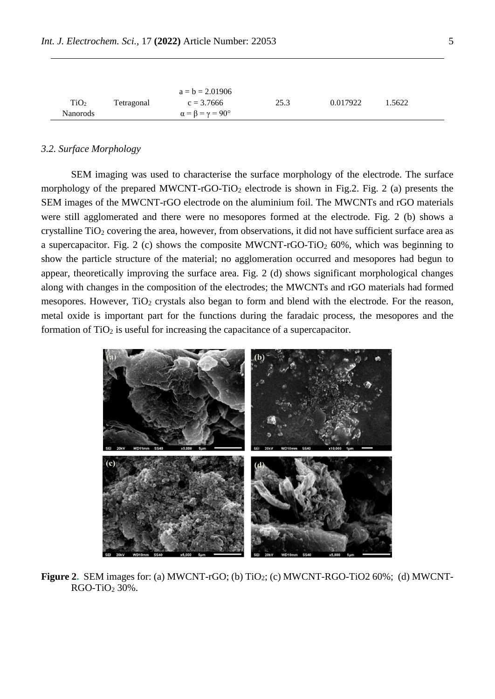|                  |            | $a = b = 2.01906$                      |      |          |        |  |
|------------------|------------|----------------------------------------|------|----------|--------|--|
| TiO <sub>2</sub> | Tetragonal | $c = 3.7666$                           | 25.3 | 0.017922 | 1.5622 |  |
| <b>Nanorods</b>  |            | $\alpha = \beta = \gamma = 90^{\circ}$ |      |          |        |  |

#### *3.2. Surface Morphology*

SEM imaging was used to characterise the surface morphology of the electrode. The surface morphology of the prepared MWCNT-rGO-TiO<sub>2</sub> electrode is shown in Fig.2. Fig. 2 (a) presents the SEM images of the MWCNT-rGO electrode on the aluminium foil. The MWCNTs and rGO materials were still agglomerated and there were no mesopores formed at the electrode. Fig. 2 (b) shows a crystalline TiO<sub>2</sub> covering the area, however, from observations, it did not have sufficient surface area as a supercapacitor. Fig. 2 (c) shows the composite MWCNT-rGO-TiO<sub>2</sub> 60%, which was beginning to show the particle structure of the material; no agglomeration occurred and mesopores had begun to appear, theoretically improving the surface area. Fig. 2 (d) shows significant morphological changes along with changes in the composition of the electrodes; the MWCNTs and rGO materials had formed mesopores. However, TiO<sub>2</sub> crystals also began to form and blend with the electrode. For the reason, metal oxide is important part for the functions during the faradaic process, the mesopores and the formation of  $TiO<sub>2</sub>$  is useful for increasing the capacitance of a supercapacitor.



**Figure 2.** SEM images for: (a) MWCNT-rGO; (b) TiO<sub>2</sub>; (c) MWCNT-RGO-TiO2 60%; (d) MWCNT- $RGO-TiO<sub>2</sub> 30%$ .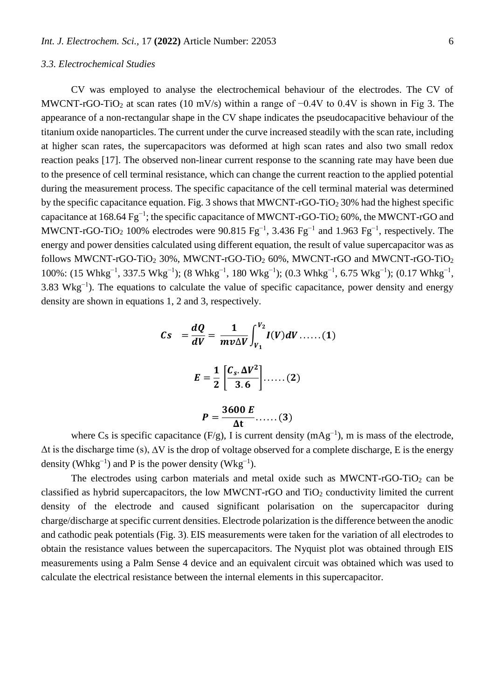#### *3.3. Electrochemical Studies*

CV was employed to analyse the electrochemical behaviour of the electrodes. The CV of MWCNT-rGO-TiO<sub>2</sub> at scan rates (10 mV/s) within a range of  $-0.4V$  to 0.4V is shown in Fig 3. The appearance of a non-rectangular shape in the CV shape indicates the pseudocapacitive behaviour of the titanium oxide nanoparticles. The current under the curve increased steadily with the scan rate, including at higher scan rates, the supercapacitors was deformed at high scan rates and also two small redox reaction peaks [17]. The observed non-linear current response to the scanning rate may have been due to the presence of cell terminal resistance, which can change the current reaction to the applied potential during the measurement process. The specific capacitance of the cell terminal material was determined by the specific capacitance equation. Fig. 3 shows that MWCNT-rGO-TiO<sub>2</sub> 30% had the highest specific capacitance at  $168.64 \text{ Fe}^{-1}$ ; the specific capacitance of MWCNT-rGO-TiO<sub>2</sub> 60%, the MWCNT-rGO and MWCNT-rGO-TiO<sub>2</sub> 100% electrodes were 90.815 Fg<sup>-1</sup>, 3.436 Fg<sup>-1</sup> and 1.963 Fg<sup>-1</sup>, respectively. The energy and power densities calculated using different equation, the result of value supercapacitor was as follows MWCNT-rGO-TiO<sub>2</sub> 30%, MWCNT-rGO-TiO<sub>2</sub> 60%, MWCNT-rGO and MWCNT-rGO-TiO<sub>2</sub> 100%: (15 Whkg<sup>-1</sup>, 337.5 Wkg<sup>-1</sup>); (8 Whkg<sup>-1</sup>, 180 Wkg<sup>-1</sup>); (0.3 Whkg<sup>-1</sup>, 6.75 Wkg<sup>-1</sup>); (0.17 Whkg<sup>-1</sup>, 3.83 Wkg<sup>-1</sup>). The equations to calculate the value of specific capacitance, power density and energy density are shown in equations 1, 2 and 3, respectively.

$$
Cs = \frac{dQ}{dV} = \frac{1}{mv\Delta V} \int_{V_1}^{V_2} I(V) dV \dots (1)
$$

$$
E = \frac{1}{2} \left[ \frac{C_s \cdot \Delta V^2}{3.6} \right] \dots (2)
$$

$$
P = \frac{3600 E}{\Delta t} \dots (3)
$$

where Cs is specific capacitance  $(F/g)$ , I is current density  $(mAg^{-1})$ , m is mass of the electrode,  $\Delta t$  is the discharge time (s),  $\Delta V$  is the drop of voltage observed for a complete discharge, E is the energy density (Whkg<sup>-1</sup>) and P is the power density (Wkg<sup>-1</sup>).

The electrodes using carbon materials and metal oxide such as  $MWCNT$ -rGO-TiO<sub>2</sub> can be classified as hybrid supercapacitors, the low MWCNT-rGO and  $TiO<sub>2</sub>$  conductivity limited the current density of the electrode and caused significant polarisation on the supercapacitor during charge/discharge at specific current densities. Electrode polarization is the difference between the anodic and cathodic peak potentials (Fig. 3). EIS measurements were taken for the variation of all electrodes to obtain the resistance values between the supercapacitors. The Nyquist plot was obtained through EIS measurements using a Palm Sense 4 device and an equivalent circuit was obtained which was used to calculate the electrical resistance between the internal elements in this supercapacitor.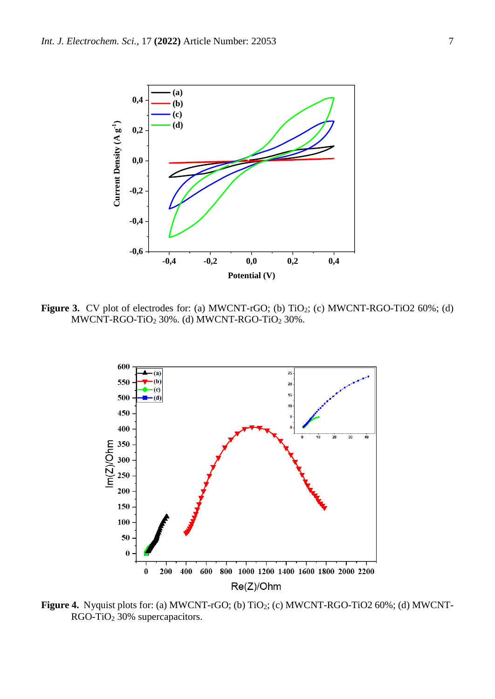

**Figure 3.** CV plot of electrodes for: (a) MWCNT-rGO; (b) TiO<sub>2</sub>; (c) MWCNT-RGO-TiO2 60%; (d) MWCNT-RGO-TiO<sup>2</sup> 30%. (d) MWCNT-RGO-TiO<sup>2</sup> 30%.



**Figure 4.** Nyquist plots for: (a) MWCNT-rGO; (b) TiO2; (c) MWCNT-RGO-TiO2 60%; (d) MWCNT-RGO-TiO<sup>2</sup> 30% supercapacitors.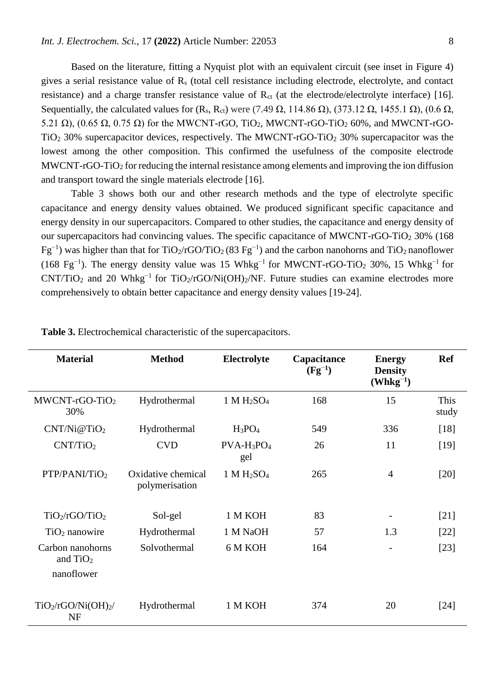Based on the literature, fitting a Nyquist plot with an equivalent circuit (see inset in Figure 4) gives a serial resistance value of  $R<sub>s</sub>$  (total cell resistance including electrode, electrolyte, and contact resistance) and a charge transfer resistance value of  $R_{ct}$  (at the electrode/electrolyte interface) [16]. Sequentially, the calculated values for  $(R_s, R_{ct})$  were (7.49 Ω, 114.86 Ω), (373.12 Ω, 1455.1 Ω), (0.6 Ω, 5.21 Ω),  $(0.65 \Omega, 0.75 \Omega)$  for the MWCNT-rGO, TiO<sub>2</sub>, MWCNT-rGO-TiO<sub>2</sub> 60%, and MWCNT-rGO-TiO<sup>2</sup> 30% supercapacitor devices, respectively. The MWCNT-rGO-TiO<sup>2</sup> 30% supercapacitor was the lowest among the other composition. This confirmed the usefulness of the composite electrode MWCNT-rGO-TiO<sub>2</sub> for reducing the internal resistance among elements and improving the ion diffusion and transport toward the single materials electrode [16].

Table 3 shows both our and other research methods and the type of electrolyte specific capacitance and energy density values obtained. We produced significant specific capacitance and energy density in our supercapacitors. Compared to other studies, the capacitance and energy density of our supercapacitors had convincing values. The specific capacitance of MWCNT-rGO-TiO<sub>2</sub> 30% (168)  $Fg^{-1}$ ) was higher than that for TiO<sub>2</sub>/rGO/TiO<sub>2</sub> (83 Fg<sup>-1</sup>) and the carbon nanohorns and TiO<sub>2</sub> nanoflower (168 Fg<sup>-1</sup>). The energy density value was 15 Whkg<sup>-1</sup> for MWCNT-rGO-TiO<sub>2</sub> 30%, 15 Whkg<sup>-1</sup> for CNT/TiO<sub>2</sub> and 20 Whkg<sup>-1</sup> for TiO<sub>2</sub>/rGO/Ni(OH)<sub>2</sub>/NF. Future studies can examine electrodes more comprehensively to obtain better capacitance and energy density values [19-24].

| <b>Material</b>                                          | <b>Method</b>                        | Electrolyte          | Capacitance<br>$(Fg^{-1})$ | <b>Energy</b><br><b>Density</b><br>$(\mathbf{Whkg}^{-1})$ | <b>Ref</b>    |
|----------------------------------------------------------|--------------------------------------|----------------------|----------------------------|-----------------------------------------------------------|---------------|
| MWCNT-rGO-TiO2<br>30%                                    | Hydrothermal                         | $1 M H_2SO_4$        | 168                        | 15                                                        | This<br>study |
| CNT/Ni@TiO <sub>2</sub>                                  | Hydrothermal                         | $H_3PO_4$            | 549                        | 336                                                       | $[18]$        |
| CNT/TiO <sub>2</sub>                                     | <b>CVD</b>                           | $PVA-H_3PO_4$<br>gel | 26                         | 11                                                        | [19]          |
| PTP/PANI/TiO2                                            | Oxidative chemical<br>polymerisation | $1 M H_2SO_4$        | 265                        | 4                                                         | $[20]$        |
| TiO <sub>2</sub> /rGO/TiO <sub>2</sub>                   | Sol-gel                              | 1 M KOH              | 83                         |                                                           | [21]          |
| $TiO2$ nanowire                                          | Hydrothermal                         | 1 M NaOH             | 57                         | 1.3                                                       | $[22]$        |
| Carbon nanohorns<br>and $TiO2$<br>nanoflower             | Solvothermal                         | 6 M KOH              | 164                        |                                                           | $[23]$        |
| TiO <sub>2</sub> /rGO/Ni(OH) <sub>2</sub> /<br><b>NF</b> | Hydrothermal                         | 1 M KOH              | 374                        | 20                                                        | $[24]$        |

**Table 3.** Electrochemical characteristic of the supercapacitors.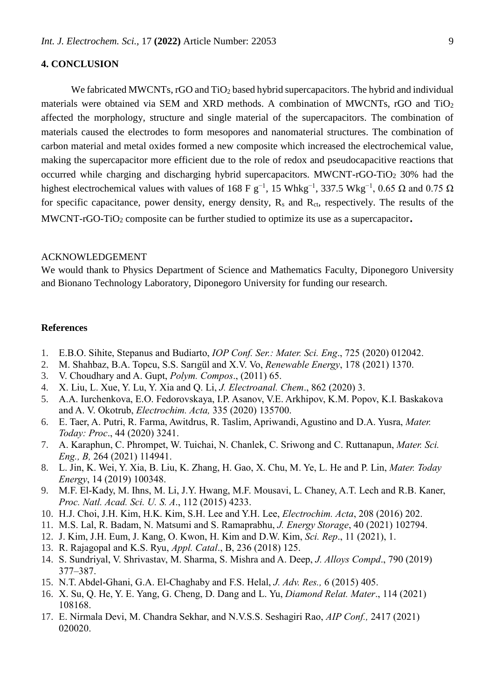# **4. CONCLUSION**

We fabricated MWCNTs,  $rGO$  and  $TiO<sub>2</sub>$  based hybrid supercapacitors. The hybrid and individual materials were obtained via SEM and XRD methods. A combination of MWCNTs, rGO and TiO<sup>2</sup> affected the morphology, structure and single material of the supercapacitors. The combination of materials caused the electrodes to form mesopores and nanomaterial structures. The combination of carbon material and metal oxides formed a new composite which increased the electrochemical value, making the supercapacitor more efficient due to the role of redox and pseudocapacitive reactions that occurred while charging and discharging hybrid supercapacitors. MWCNT-rGO-TiO<sub>2</sub> 30% had the highest electrochemical values with values of 168 F  $g^{-1}$ , 15 Whkg<sup>-1</sup>, 337.5 Wkg<sup>-1</sup>, 0.65  $\Omega$  and 0.75  $\Omega$ for specific capacitance, power density, energy density, R<sub>s</sub> and R<sub>ct</sub>, respectively. The results of the MWCNT-rGO-TiO<sub>2</sub> composite can be further studied to optimize its use as a supercapacitor.

#### ACKNOWLEDGEMENT

We would thank to Physics Department of Science and Mathematics Faculty, Diponegoro University and Bionano Technology Laboratory, Diponegoro University for funding our research.

#### **References**

- 1. E.B.O. Sihite, Stepanus and Budiarto, *IOP Conf. Ser.: Mater. Sci. Eng*., 725 (2020) 012042.
- 2. M. Shahbaz, B.A. Topcu, S.S. Sarıgül and X.V. Vo, *Renewable Energy*, 178 (2021) 1370.
- 3. V. Choudhary and A. Gupt, *Polym. Compos*., (2011) 65.
- 4. X. Liu, L. Xue, Y. Lu, Y. Xia and Q. Li, *J. Electroanal. Chem*., 862 (2020) 3.
- 5. A.A. Iurchenkova, E.O. Fedorovskaya, I.P. Asanov, V.E. Arkhipov, K.M. Popov, K.I. Baskakova and A. V. Okotrub, *Electrochim. Acta,* 335 (2020) 135700.
- 6. E. Taer, A. Putri, R. Farma, Awitdrus, R. Taslim, Apriwandi, Agustino and D.A. Yusra, *Mater. Today: Proc*., 44 (2020) 3241.
- 7. A. Karaphun, C. Phrompet, W. Tuichai, N. Chanlek, C. Sriwong and C. Ruttanapun, *Mater. Sci. Eng., B,* 264 (2021) 114941.
- 8. L. Jin, K. Wei, Y. Xia, B. Liu, K. Zhang, H. Gao, X. Chu, M. Ye, L. He and P. Lin, *Mater. Today Energy*, 14 (2019) 100348.
- 9. M.F. El-Kady, M. Ihns, M. Li, J.Y. Hwang, M.F. Mousavi, L. Chaney, A.T. Lech and R.B. Kaner, *Proc. Natl. Acad. Sci. U. S. A*., 112 (2015) 4233.
- 10. H.J. Choi, J.H. Kim, H.K. Kim, S.H. Lee and Y.H. Lee, *Electrochim. Acta*, 208 (2016) 202.
- 11. M.S. Lal, R. Badam, N. Matsumi and S. Ramaprabhu, *J. Energy Storage*, 40 (2021) 102794.
- 12. J. Kim, J.H. Eum, J. Kang, O. Kwon, H. Kim and D.W. Kim, *Sci. Rep*., 11 (2021), 1.
- 13. R. Rajagopal and K.S. Ryu, *Appl. Catal*., B, 236 (2018) 125.
- 14. S. Sundriyal, V. Shrivastav, M. Sharma, S. Mishra and A. Deep, *J. Alloys Compd*., 790 (2019) 377–387.
- 15. N.T. Abdel-Ghani, G.A. El-Chaghaby and F.S. Helal, *J. Adv. Res.,* 6 (2015) 405.
- 16. X. Su, Q. He, Y. E. Yang, G. Cheng, D. Dang and L. Yu, *Diamond Relat. Mater*., 114 (2021) 108168.
- 17. E. Nirmala Devi, M. Chandra Sekhar, and N.V.S.S. Seshagiri Rao, *AIP Conf.,* 2417 (2021) 020020.